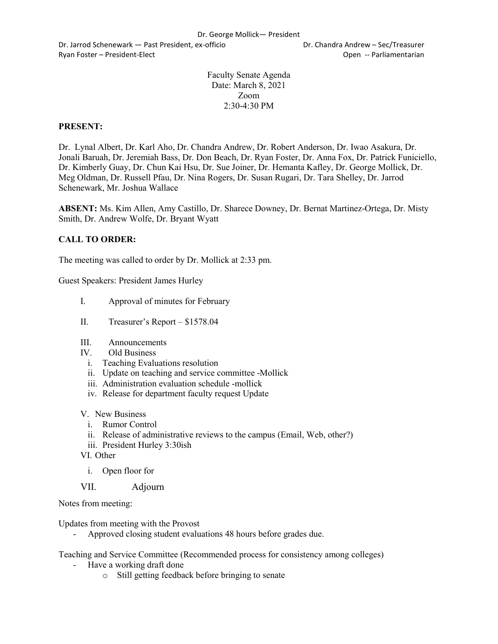Dr. Jarrod Schenewark — Past President, ex-officio Dr. Chandra Andrew – Sec/Treasurer Ryan Foster – President-Elect Controller Controller Controller Controller Controller Controller Controller Controller Controller Controller Controller Controller Controller Controller Controller Controller Controller Contr

Faculty Senate Agenda Date: March 8, 2021 Zoom 2:30-4:30 PM

#### **PRESENT:**

Dr. Lynal Albert, Dr. Karl Aho, Dr. Chandra Andrew, Dr. Robert Anderson, Dr. Iwao Asakura, Dr. Jonali Baruah, Dr. Jeremiah Bass, Dr. Don Beach, Dr. Ryan Foster, Dr. Anna Fox, Dr. Patrick Funiciello, Dr. Kimberly Guay, Dr. Chun Kai Hsu, Dr. Sue Joiner, Dr. Hemanta Kafley, Dr. George Mollick, Dr. Meg Oldman, Dr. Russell Pfau, Dr. Nina Rogers, Dr. Susan Rugari, Dr. Tara Shelley, Dr. Jarrod Schenewark, Mr. Joshua Wallace

**ABSENT:** Ms. Kim Allen, Amy Castillo, Dr. Sharece Downey, Dr. Bernat Martinez-Ortega, Dr. Misty Smith, Dr. Andrew Wolfe, Dr. Bryant Wyatt

# **CALL TO ORDER:**

The meeting was called to order by Dr. Mollick at 2:33 pm.

Guest Speakers: President James Hurley

- I. Approval of minutes for February
- II. Treasurer's Report \$1578.04
- III. Announcements
- IV. Old Business
	- i. Teaching Evaluations resolution
	- ii. Update on teaching and service committee -Mollick
	- iii. Administration evaluation schedule -mollick
	- iv. Release for department faculty request Update
- V. New Business
	- i. Rumor Control
	- ii. Release of administrative reviews to the campus (Email, Web, other?)
	- iii. President Hurley 3:30ish
- VI. Other
	- i. Open floor for
- VII. Adjourn

Notes from meeting:

Updates from meeting with the Provost

- Approved closing student evaluations 48 hours before grades due.

Teaching and Service Committee (Recommended process for consistency among colleges)

- Have a working draft done
	- o Still getting feedback before bringing to senate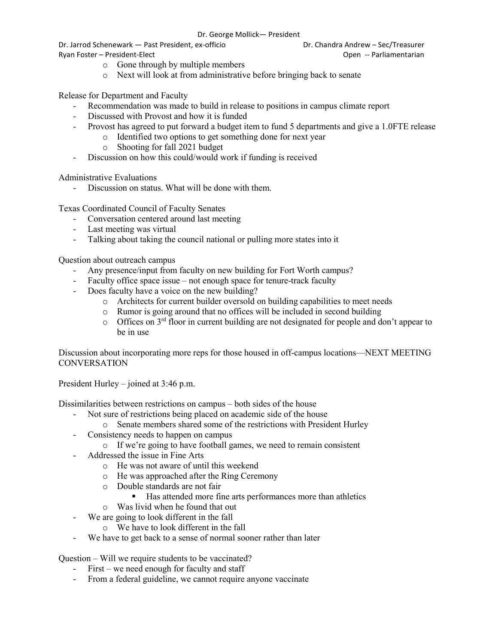Dr. Jarrod Schenewark — Past President, ex-officio Dr. Chandra Andrew – Sec/Treasurer Ryan Foster – President-Elect Controller Controller Controller Controller Controller Controller Controller Controller Controller Controller Controller Controller Controller Controller Controller Controller Controller Contr

- o Gone through by multiple members
- o Next will look at from administrative before bringing back to senate

Release for Department and Faculty

- Recommendation was made to build in release to positions in campus climate report
- Discussed with Provost and how it is funded
- Provost has agreed to put forward a budget item to fund 5 departments and give a 1.0FTE release
	- o Identified two options to get something done for next year
	- o Shooting for fall 2021 budget
- Discussion on how this could/would work if funding is received

Administrative Evaluations

Discussion on status. What will be done with them.

Texas Coordinated Council of Faculty Senates

- Conversation centered around last meeting
- Last meeting was virtual
- Talking about taking the council national or pulling more states into it

Question about outreach campus

- Any presence/input from faculty on new building for Fort Worth campus?
- Faculty office space issue not enough space for tenure-track faculty
- Does faculty have a voice on the new building?
	- o Architects for current builder oversold on building capabilities to meet needs
	- o Rumor is going around that no offices will be included in second building
	- $\circ$  Offices on 3<sup>rd</sup> floor in current building are not designated for people and don't appear to be in use

Discussion about incorporating more reps for those housed in off-campus locations—NEXT MEETING **CONVERSATION** 

President Hurley – joined at 3:46 p.m.

Dissimilarities between restrictions on campus – both sides of the house

- Not sure of restrictions being placed on academic side of the house
	- o Senate members shared some of the restrictions with President Hurley
- Consistency needs to happen on campus
	- o If we're going to have football games, we need to remain consistent
- Addressed the issue in Fine Arts
	- o He was not aware of until this weekend
	- o He was approached after the Ring Ceremony
	- o Double standards are not fair
		- Has attended more fine arts performances more than athletics
	- o Was livid when he found that out
- We are going to look different in the fall
	- o We have to look different in the fall
- We have to get back to a sense of normal sooner rather than later

Question – Will we require students to be vaccinated?

- First we need enough for faculty and staff
- From a federal guideline, we cannot require anyone vaccinate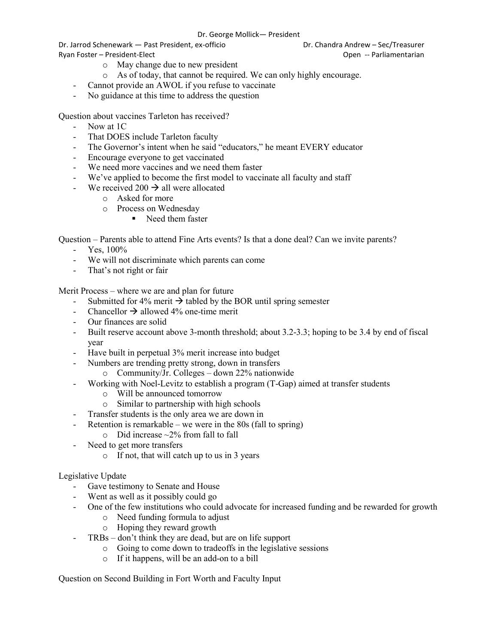#### Dr. George Mollick— President

Dr. Jarrod Schenewark — Past President, ex-officio Dr. Chandra Andrew – Sec/Treasurer Ryan Foster – President-Elect Controller Controller Controller Controller Controller Controller Controller Controller Controller Controller Controller Controller Controller Controller Controller Controller Controller Contr

- o May change due to new president
- o As of today, that cannot be required. We can only highly encourage.
- Cannot provide an AWOL if you refuse to vaccinate
- No guidance at this time to address the question

Question about vaccines Tarleton has received?

- Now at 1C
- That DOES include Tarleton faculty
- The Governor's intent when he said "educators," he meant EVERY educator
- Encourage everyone to get vaccinated
- We need more vaccines and we need them faster
- We've applied to become the first model to vaccinate all faculty and staff
- We received 200  $\rightarrow$  all were allocated
	- o Asked for more
	- o Process on Wednesday
		- Need them faster

Question – Parents able to attend Fine Arts events? Is that a done deal? Can we invite parents?

- $-$  Yes,  $100\%$
- We will not discriminate which parents can come
- That's not right or fair

Merit Process – where we are and plan for future

- Submitted for 4% merit  $\rightarrow$  tabled by the BOR until spring semester
- Chancellor  $\rightarrow$  allowed 4% one-time merit
- Our finances are solid
- Built reserve account above 3-month threshold; about 3.2-3.3; hoping to be 3.4 by end of fiscal year
- Have built in perpetual 3% merit increase into budget
- Numbers are trending pretty strong, down in transfers
	- o Community/Jr. Colleges down 22% nationwide
- Working with Noel-Levitz to establish a program (T-Gap) aimed at transfer students
	- o Will be announced tomorrow
	- o Similar to partnership with high schools
- Transfer students is the only area we are down in
- Retention is remarkable we were in the  $80s$  (fall to spring)
	- $\circ$  Did increase  $\sim$ 2% from fall to fall
- Need to get more transfers
	- o If not, that will catch up to us in 3 years

#### Legislative Update

- Gave testimony to Senate and House
- Went as well as it possibly could go
- One of the few institutions who could advocate for increased funding and be rewarded for growth
	- o Need funding formula to adjust
	- o Hoping they reward growth
- TRBs don't think they are dead, but are on life support
	- o Going to come down to tradeoffs in the legislative sessions
	- o If it happens, will be an add-on to a bill

Question on Second Building in Fort Worth and Faculty Input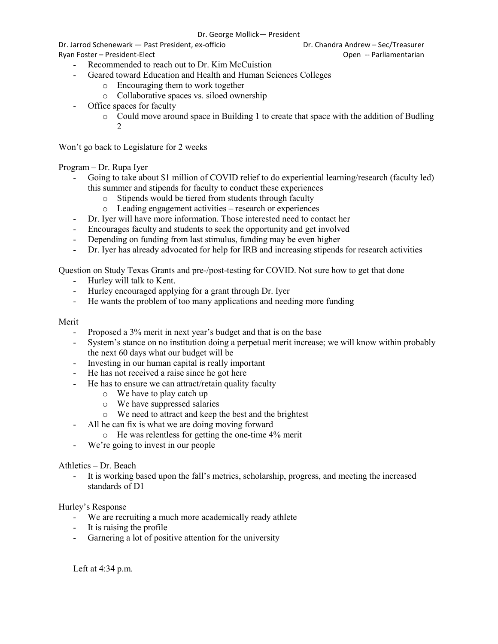Dr. Jarrod Schenewark — Past President, ex-officio Dr. Chandra Andrew – Sec/Treasurer

- Recommended to reach out to Dr. Kim McCuistion
- Geared toward Education and Health and Human Sciences Colleges
	- o Encouraging them to work together
	- o Collaborative spaces vs. siloed ownership
- Office spaces for faculty
	- o Could move around space in Building 1 to create that space with the addition of Budling 2

Won't go back to Legislature for 2 weeks

# Program – Dr. Rupa Iyer

- Going to take about \$1 million of COVID relief to do experiential learning/research (faculty led) this summer and stipends for faculty to conduct these experiences
	- o Stipends would be tiered from students through faculty
	- o Leading engagement activities research or experiences
- Dr. Iyer will have more information. Those interested need to contact her
- Encourages faculty and students to seek the opportunity and get involved
- Depending on funding from last stimulus, funding may be even higher
- Dr. Iyer has already advocated for help for IRB and increasing stipends for research activities

Question on Study Texas Grants and pre-/post-testing for COVID. Not sure how to get that done

- Hurley will talk to Kent.
- Hurley encouraged applying for a grant through Dr. Iyer
- He wants the problem of too many applications and needing more funding

# Merit

- Proposed a 3% merit in next year's budget and that is on the base
- System's stance on no institution doing a perpetual merit increase; we will know within probably the next 60 days what our budget will be
- Investing in our human capital is really important
- He has not received a raise since he got here
- He has to ensure we can attract/retain quality faculty
	- o We have to play catch up
	- o We have suppressed salaries
	- o We need to attract and keep the best and the brightest
	- All he can fix is what we are doing moving forward
		- o He was relentless for getting the one-time 4% merit
- We're going to invest in our people

# Athletics – Dr. Beach

It is working based upon the fall's metrics, scholarship, progress, and meeting the increased standards of D1

#### Hurley's Response

- We are recruiting a much more academically ready athlete
- It is raising the profile
- Garnering a lot of positive attention for the university

Left at 4:34 p.m.